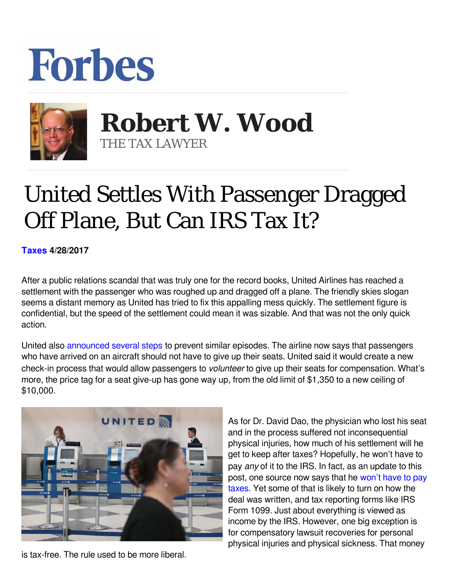## **Forbes**



 **Robert W. Wood** THE TAX LAWYER

## United Settles With Passenger Dragged Off Plane, But Can IRS Tax It?

**[Taxes](https://www.forbes.com/taxes) 4/28/2017** 

After a public relations scandal that was truly one for the record books, United Airlines has reached a settlement with the passenger who was roughed up and dragged off a plane. The friendly skies slogan seems a distant memory as United has tried to fix this appalling mess quickly. The settlement figure is confidential, but the speed of the settlement could mean it was sizable. And that was not the only quick action.

United also [announced several steps](https://www.nytimes.com/2017/04/27/business/united-airlines-new-guidelines-policy.html?_r=0) to prevent similar episodes. The airline now says that passengers who have arrived on an aircraft should not have to give up their seats. United said it would create a new check-in process that would allow passengers to *volunteer* to give up their seats for compensation. What's more, the price tag for a seat give-up has gone way up, from the old limit of \$1,350 to a new ceiling of \$10,000.



As for Dr. David Dao, the physician who lost his seat and in the process suffered not inconsequential physical injuries, how much of his settlement will he get to keep after taxes? Hopefully, he won't have to pay *any* of it to the IRS. In fact, as an update to this post, one source now says that he [won't have to pay](https://www.bloomberg.com/news/articles/2017-04-28/dragged-flier-won-t-have-to-pay-taxes-on-settlement-with-united) [taxes](https://www.bloomberg.com/news/articles/2017-04-28/dragged-flier-won-t-have-to-pay-taxes-on-settlement-with-united). Yet some of that is likely to turn on how the deal was written, and tax reporting forms like IRS Form 1099. Just about everything is viewed as income by the IRS. However, one big exception is for compensatory lawsuit recoveries for personal physical injuries and physical sickness. That money

is tax-free. The rule used to be more liberal.